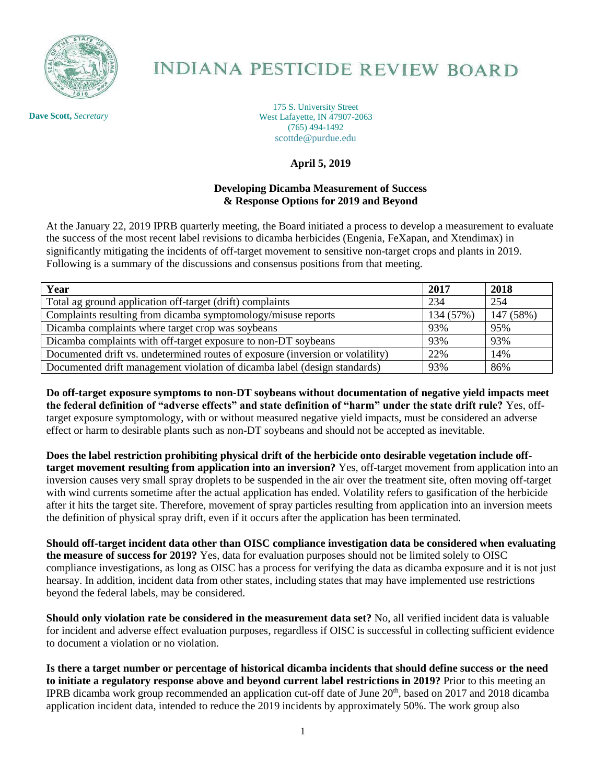

## **INDIANA PESTICIDE REVIEW BOARD**

**Dave Scott,** *Secretary*

175 S. University Street West Lafayette, IN 47907-2063 (765) 494-1492 scottde@purdue.edu

## **April 5, 2019**

## **Developing Dicamba Measurement of Success & Response Options for 2019 and Beyond**

At the January 22, 2019 IPRB quarterly meeting, the Board initiated a process to develop a measurement to evaluate the success of the most recent label revisions to dicamba herbicides (Engenia, FeXapan, and Xtendimax) in significantly mitigating the incidents of off-target movement to sensitive non-target crops and plants in 2019. Following is a summary of the discussions and consensus positions from that meeting.

| Year                                                                           | 2017      | 2018      |
|--------------------------------------------------------------------------------|-----------|-----------|
| Total ag ground application off-target (drift) complaints                      | 234       | 254       |
| Complaints resulting from dicamba symptomology/misuse reports                  | 134 (57%) | 147 (58%) |
| Dicamba complaints where target crop was soybeans                              | 93%       | 95%       |
| Dicamba complaints with off-target exposure to non-DT soybeans                 | 93%       | 93%       |
| Documented drift vs. undetermined routes of exposure (inversion or volatility) | 22%       | 14%       |
| Documented drift management violation of dicamba label (design standards)      | 93%       | 86%       |

**Do off-target exposure symptoms to non-DT soybeans without documentation of negative yield impacts meet the federal definition of "adverse effects" and state definition of "harm" under the state drift rule?** Yes, offtarget exposure symptomology, with or without measured negative yield impacts, must be considered an adverse effect or harm to desirable plants such as non-DT soybeans and should not be accepted as inevitable.

**Does the label restriction prohibiting physical drift of the herbicide onto desirable vegetation include offtarget movement resulting from application into an inversion?** Yes, off-target movement from application into an inversion causes very small spray droplets to be suspended in the air over the treatment site, often moving off-target with wind currents sometime after the actual application has ended. Volatility refers to gasification of the herbicide after it hits the target site. Therefore, movement of spray particles resulting from application into an inversion meets the definition of physical spray drift, even if it occurs after the application has been terminated.

**Should off-target incident data other than OISC compliance investigation data be considered when evaluating the measure of success for 2019?** Yes, data for evaluation purposes should not be limited solely to OISC compliance investigations, as long as OISC has a process for verifying the data as dicamba exposure and it is not just hearsay. In addition, incident data from other states, including states that may have implemented use restrictions beyond the federal labels, may be considered.

**Should only violation rate be considered in the measurement data set?** No, all verified incident data is valuable for incident and adverse effect evaluation purposes, regardless if OISC is successful in collecting sufficient evidence to document a violation or no violation.

**Is there a target number or percentage of historical dicamba incidents that should define success or the need to initiate a regulatory response above and beyond current label restrictions in 2019?** Prior to this meeting an IPRB dicamba work group recommended an application cut-off date of June 20<sup>th</sup>, based on 2017 and 2018 dicamba application incident data, intended to reduce the 2019 incidents by approximately 50%. The work group also